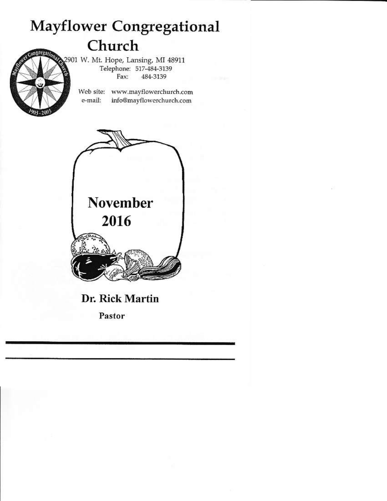# Mayflower Congregational Church

2901 W. Mt. Hope, Lansing, MI 48911 Telephone: 517-484-3139<br>Fax: 484-3139 484-3139



Web site: www.mayflowerchurch.com<br>e-mail: info@mayflowerchurch.com info@mayflowerchurch.com



## Dr. Rick Marfin

Pastor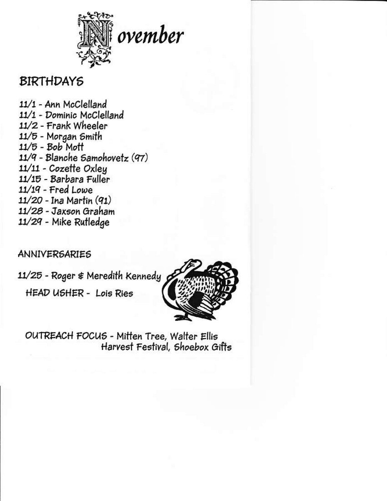

ovember

## **BIRTHDAYS**

11/1 - Ann McClelland 11/1 - Dominic McClelland 11/2 - Frank Wheeler 11/5 - Morgan Smith  $11/5$  - Bob Mott  $11/9$  - Blanche Samohovetz (97) 11/11 - Cozette Oxley 11/15 - Barbara Fuller  $11/19$  - Fred Lowe  $11/20$  - Ina Martin  $(91)$ 11/28 - Jaxson Graham 11/29 - Mike Rutledge

**ANNIVERSARIES** 

11/25 - Roger  $\ast$  Meredith Kennedy  $\sigma$ 

**HEAD USHER - Lois Ries** 



OUTREACH FOCUS - Mitten Tree, Walter Ellis Harvest Festival, Shoebox Gifts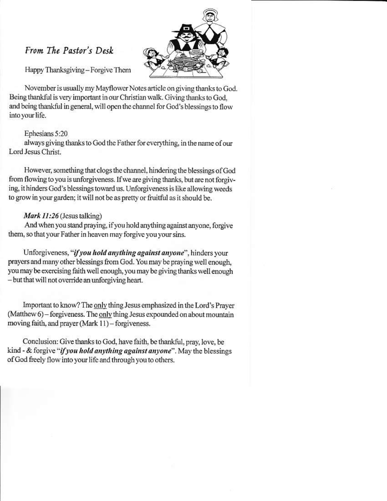## From The Pastor's Desk



Happy Thanksgiving-Forgive Them

November is usually my Mayflower Notes article on giving thanks to God. Being thankful is very important in our Christian walk. Giving thanks to God. and being thankful in general, will open the channel for God's blessings to flow into your life.

#### Ephesians 5:20

always giving thanks to God the Father for everything, in the name of our Lord Jesus Christ.

However, something that clogs the channel, hindering the blessings of God from flowing to you is unforgiveness. If we are giving thanks, but are not forgiving, it hinders God's blessings toward us. Unforgiveness is like allowing weeds to grow in your garden; it will not be as pretty or fruitful as it should be.

## Mark  $11:26$  (Jesus talking)

And when you stand praying, if you hold anything against anyone, forgive them, so that your Father in heaven may forgive you your sins.

Unforgiveness, "if you hold anything against anyone", hinders your prayers and many other blessings from God. You may be praying well enough. you may be exercising faith well enough, you may be giving thanks well enough - but that will not override an unforgiving heart.

Important to know? The only thing Jesus emphasized in the Lord's Prayer (Matthew 6) – forgiveness. The only thing Jesus expounded on about mountain moving faith, and prayer (Mark 11) - forgiveness.

Conclusion: Give thanks to God, have faith, be thankful, pray, love, be kind - & forgive "if you hold anything against anyone". May the blessings of God freely flow into your life and through you to others.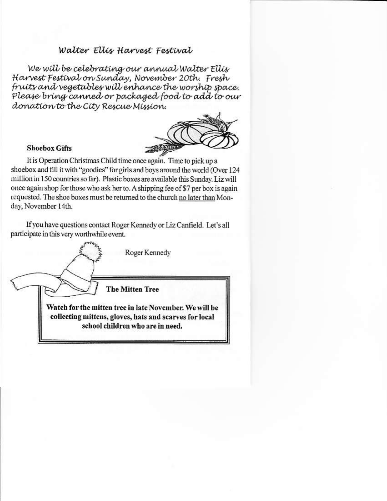## Walter Ellis Harvest Festival

We will be celebrating our annual Walter Ellis Harvest Festival on Sunday, November 20th. Fresh fruits and vegetables will enhance the worship space. Please bring canned or packaged food to add to our donation to the City Rescue Mission.



#### **Shoebox Gifts**

It is Operation Christmas Child time once again. Time to pick up a shoebox and fill it with "goodies" for girls and boys around the world (Over 124 million in 150 countries so far). Plastic boxes are available this Sunday. Liz will once again shop for those who ask her to. A shipping fee of \$7 per box is again requested. The shoe boxes must be returned to the church no later than Monday, November 14th.

If you have questions contact Roger Kennedy or Liz Canfield. Let's all participate in this very worthwhile event.

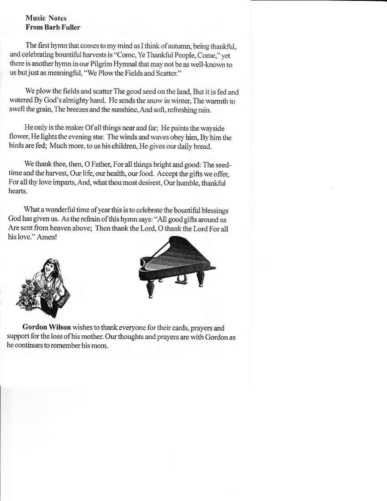#### **Music Notes From Barb Fuller**

The first hymn that comes to my mind as I think of autumn, being thankful, and celebrating bountiful harvests is "Come, Ye Thankful People, Come," yet there is another hymn in our Pilgrim Hymnal that may not be as well-known to us but just as meaningful, "We Plow the Fields and Scatter."

We plow the fields and scatter The good seed on the land, But it is fed and watered By God's almighty hand. He sends the snow in winter, The warmth to swell the grain. The breezes and the sunshine, And soft, refreshing rain.

He only is the maker Of all things near and far; He paints the wayside flower, He lights the evening star. The winds and waves obey him, By him the birds are fed; Much more, to us his children, He gives our daily bread.

We thank thee, then, O Father, For all things bright and good: The seedtime and the harvest, Our life, our health, our food. Accept the gifts we offer. For all thy love imparts, And, what thou most desirest, Our humble, thankful hearts.

What a wonderful time of year this is to celebrate the bountiful blessings God has given us. As the refrain of this hymn says: "All good gifts around us Are sent from heaven above; Then thank the Lord, O thank the Lord For all his love." Amen!





Gordon Wilson wishes to thank everyone for their cards, prayers and support for the loss of his mother. Our thoughts and prayers are with Gordon as he continues to remember his mom.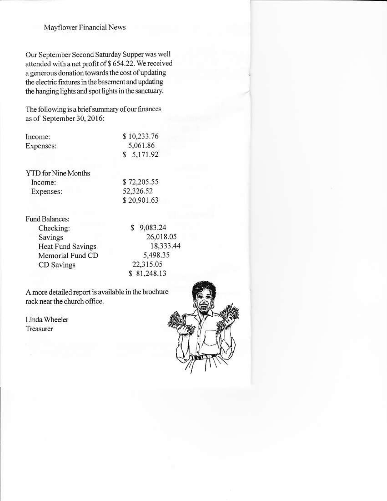Mayflower Financial News

Our September Second Saturday Supper was well attended with a net profit of \$654.22. We received a generous donation towards the cost of updating the electric fixtures in the basement and updating the hanging lights and spot lights in the sanctuary.

The following is a brief summary of our finances as of September 30, 2016:

| Income:   | \$10,233.76 |  |  |
|-----------|-------------|--|--|
| Expenses: | 5,061.86    |  |  |
|           | \$5,171.92  |  |  |

**YTD** for Nine Months Income: Expenses:

\$72,205.55 52,326.52 \$20,901.63

**Fund Balances:** Checking:

Savings **Heat Fund Savings** Memorial Fund CD CD Savings

9,083.24 Ś 26,018.05 18,333.44 5.498.35 22,315.05 \$81,248.13

A more detailed report is available in the brochure rack near the church office.

Linda Wheeler Treasurer

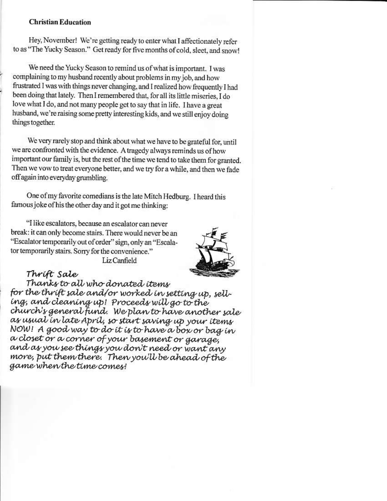#### **Christian Education**

Hey, November! We're getting ready to enter what I affectionately refer to as "The Yucky Season." Get ready for five months of cold, sleet, and snow!

We need the Yucky Season to remind us of what is important. I was complaining to my husband recently about problems in my job, and how frustrated I was with things never changing, and I realized how frequently I had been doing that lately. Then I remembered that, for all its little miseries, I do love what I do, and not many people get to say that in life. I have a great husband, we're raising some pretty interesting kids, and we still enjoy doing things together.

We very rarely stop and think about what we have to be grateful for, until we are confronted with the evidence. A tragedy always reminds us of how important our family is, but the rest of the time we tend to take them for granted. Then we vow to treat everyone better, and we try for a while, and then we fade off again into everyday grumbling.

One of my favorite comedians is the late Mitch Hedburg. I heard this famous joke of his the other day and it got me thinking:

"I like escalators, because an escalator can never break: it can only become stairs. There would never be an "Escalator temporarily out of order" sign, only an "Escalator temporarily stairs. Sorry for the convenience."

Liz Canfield



#### Thrift Sale

Thanks to all who donated items for the thrift sale and/or worked in setting up, selling, and cleaning up! Proceeds will go to the church's general fund. We plan to have another sale as usual in late April, so start saving up your items NOW! A good way to do it is to have a box or bag in a closet or a corner of your basement or garage, and as you see things you don't need or want any more, put them there. Then you'll be ahead of the game when the time comes!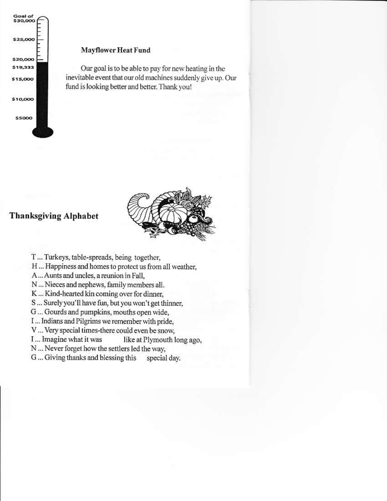

#### **Mayflower Heat Fund**

Our goal is to be able to pay for new heating in the inevitable event that our old machines suddenly give up. Our fund is looking better and better. Thank you!

## **Thanksgiving Alphabet**



- T... Turkeys, table-spreads, being together,
- H ... Happiness and homes to protect us from all weather,
- A... Aunts and uncles, a reunion in Fall.
- N ... Nieces and nephews, family members all.
- K ... Kind-hearted kin coming over for dinner,
- S ... Surely you'll have fun, but you won't get thinner,
- G... Gourds and pumpkins, mouths open wide,
- I... Indians and Pilgrims we remember with pride.
- V ... Very special times-there could even be snow.
- I... Imagine what it was like at Plymouth long ago,
- N ... Never forget how the settlers led the way,
- G... Giving thanks and blessing this special day.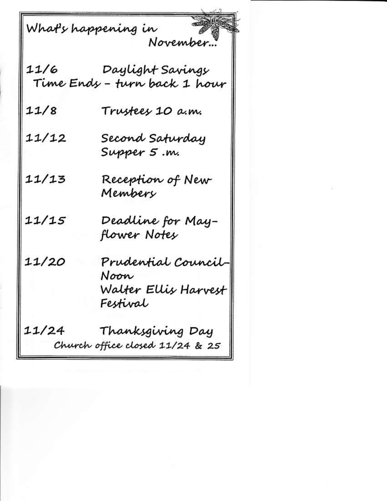|       | What's happening in November.                         |
|-------|-------------------------------------------------------|
|       |                                                       |
|       |                                                       |
|       | 11/6 Daylight Savings<br>Time Ends – turn back 1 hour |
| 11/8  | Trustees 10 a.m.                                      |
| 11/12 |                                                       |
|       | Second Saturday<br>Supper 5 .m.                       |
| 11/13 |                                                       |
|       | Reception of New<br>Members                           |
| 11/15 |                                                       |
|       | Deadline for May–<br>flower Notes                     |
| 11/20 | Prudential Council-                                   |
|       | Noon                                                  |
|       | Walter Ellis Harvest                                  |
|       | Festival                                              |
| 11/24 | Thanksgiving Day                                      |
|       | Church office closed 11/24 & 25                       |